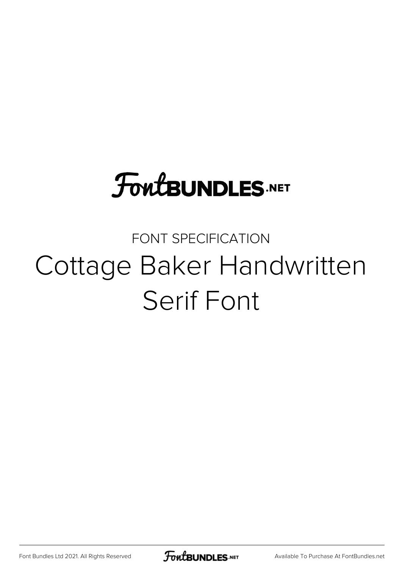# **FoutBUNDLES.NET**

#### FONT SPECIFICATION Cottage Baker Handwritten Serif Font

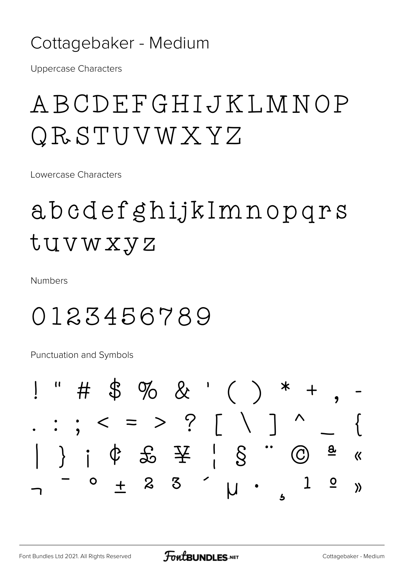#### Cottagebaker - Medium

**Uppercase Characters** 

## ABCDEFGHIJKLMNOP QRSTUVWXYZ

Lowercase Characters

## abcdefghijkImnopqrs tuvwxyz

**Numbers** 

#### 0123456789

**Punctuation and Symbols** 

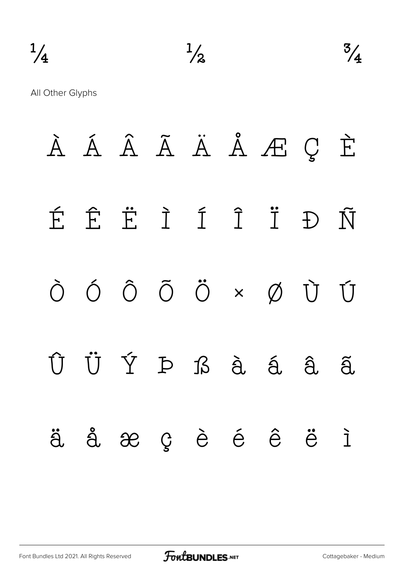

All Other Glyphs